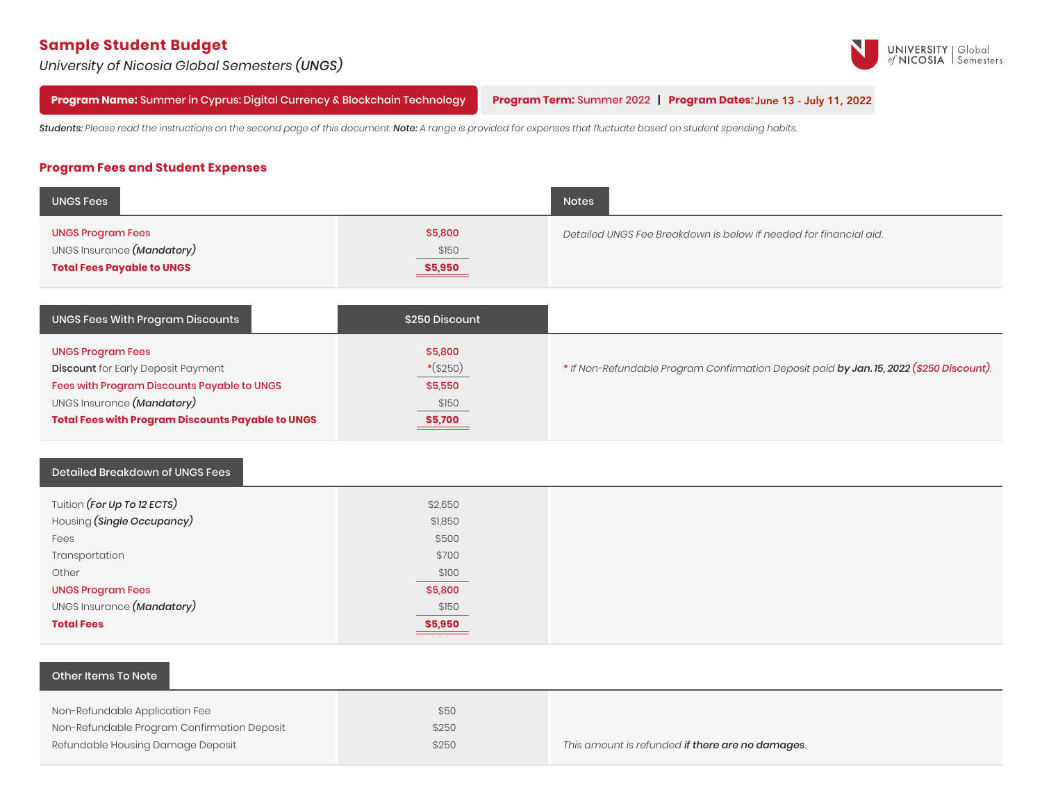# **Sample Student Budget**

*University of Nicosia Global Semesters (UNGS)*



**Program Name:** Summer in Cyprus: Digital Currency & Blockchain Technology

**Program Term:** Summer 2022 **| Program Dates:** June 13 - July 11, 2022 June 8 - July 6, 2022

Students: Please read the instructions on the second page of this document. Note: A range is provided for expenses that fluctuate based on student spending habits.

# **Program Fees and Student Expenses**

| <b>UNGS Fees</b>                                                                            |                            | <b>Notes</b>                                                      |
|---------------------------------------------------------------------------------------------|----------------------------|-------------------------------------------------------------------|
| <b>UNGS Program Fees</b><br>UNGS Insurance (Mandatory)<br><b>Total Fees Payable to UNGS</b> | \$5,800<br>\$150<br>S5,950 | Detailed UNGS Fee Breakdown is below if needed for financial aid. |

| UNGS Fees With Program Discounts                                                                                                                                                                               | \$250 Discount                                       |                                                                                          |
|----------------------------------------------------------------------------------------------------------------------------------------------------------------------------------------------------------------|------------------------------------------------------|------------------------------------------------------------------------------------------|
| <b>UNGS Program Fees</b><br><b>Discount</b> for Early Deposit Payment<br>Fees with Program Discounts Payable to UNGS<br>UNGS Insurance (Mandatory)<br><b>Total Fees with Program Discounts Payable to UNGS</b> | \$5,800<br>$*(\$250)$<br>\$5,550<br>\$150<br>\$5,700 | * If Non-Refundable Program Confirmation Deposit paid by Jan. 15, 2022 (\$250 Discount). |

#### Detailed Breakdown of UNGS Fees

| Tuition <i>(For Up To 12 ECTS)</i> | \$2,650           |
|------------------------------------|-------------------|
| Housing (Single Occupancy)         | \$1,850           |
| Fees                               | \$500             |
| Transportation                     | \$700             |
| Other                              | \$100             |
| <b>UNGS Program Fees</b>           | \$5,800           |
| UNGS Insurance (Mandatory)         | \$150             |
| <b>Total Fees</b>                  | $\frac{$5,950}{}$ |
|                                    |                   |

## Other Items To Note

| Non-Refundable Application Fee              | \$50  |                                                          |
|---------------------------------------------|-------|----------------------------------------------------------|
| Non-Refundable Program Confirmation Deposit | \$250 |                                                          |
| Refundable Housing Damage Deposit           | \$250 | This amount is refunded <b>if there are no damages</b> . |
|                                             |       |                                                          |